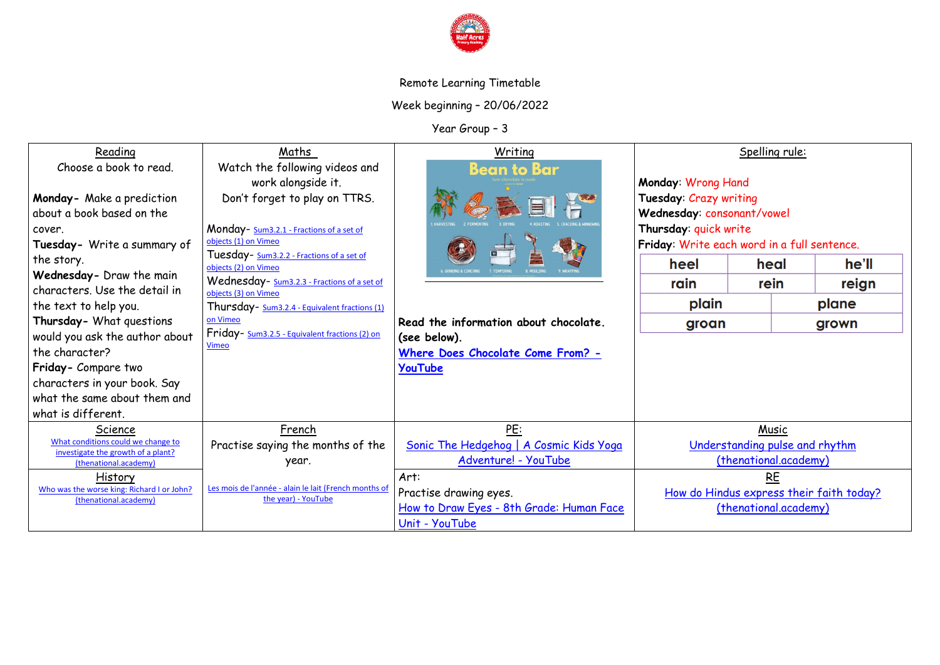

# Remote Learning Timetable

Week beginning – 20/06/2022

Year Group – 3

| Reading                                                                  | Maths                                                                        | Writing                                  | Spelling rule:                                        |                       |       |
|--------------------------------------------------------------------------|------------------------------------------------------------------------------|------------------------------------------|-------------------------------------------------------|-----------------------|-------|
| Choose a book to read.                                                   | Watch the following videos and                                               | <b>Bean to Bar</b>                       |                                                       |                       |       |
|                                                                          | work alongside it.                                                           |                                          | Monday: Wrong Hand                                    |                       |       |
| Monday- Make a prediction                                                | Don't forget to play on TTRS.                                                |                                          | Tuesday: Crazy writing                                |                       |       |
| about a book based on the                                                |                                                                              |                                          | Wednesday: consonant/vowel                            |                       |       |
| cover.                                                                   | Monday- Sum3.2.1 - Fractions of a set of                                     |                                          | Thursday: quick write                                 |                       |       |
| Tuesday- Write a summary of                                              | objects (1) on Vimeo                                                         |                                          | Friday: Write each word in a full sentence.           |                       |       |
| the story.                                                               | Tuesday- Sum3.2.2 - Fractions of a set of<br>objects (2) on Vimeo            |                                          | heel                                                  | heal                  | he'll |
| Wednesday- Draw the main                                                 | Wednesday- Sum3.2.3 - Fractions of a set of                                  |                                          |                                                       |                       |       |
| characters. Use the detail in                                            | objects (3) on Vimeo                                                         |                                          | rain                                                  | rein                  | reign |
| the text to help you.                                                    | Thursday- Sum3.2.4 - Equivalent fractions (1)                                |                                          | plain<br>plane                                        |                       |       |
| Thursday- What questions                                                 | on Vimeo                                                                     | Read the information about chocolate.    | groan<br>grown                                        |                       |       |
| would you ask the author about                                           | Friday- Sum3.2.5 - Equivalent fractions (2) on                               | (see below).                             |                                                       |                       |       |
| the character?                                                           | <b>Vimeo</b>                                                                 | Where Does Chocolate Come From? -        |                                                       |                       |       |
| Friday- Compare two                                                      |                                                                              | YouTube                                  |                                                       |                       |       |
| characters in your book. Say                                             |                                                                              |                                          |                                                       |                       |       |
| what the same about them and                                             |                                                                              |                                          |                                                       |                       |       |
| what is different.                                                       |                                                                              |                                          |                                                       |                       |       |
| Science                                                                  | French                                                                       | <b>PE:</b>                               | Music                                                 |                       |       |
| What conditions could we change to<br>investigate the growth of a plant? | Practise saying the months of the                                            | Sonic The Hedgehog   A Cosmic Kids Yoga  | Understanding pulse and rhythm                        |                       |       |
| (thenational.academy)                                                    | year.                                                                        | Adventure! - YouTube                     | (thenational.academy)                                 |                       |       |
| History                                                                  |                                                                              | Art:                                     | <b>RE</b><br>How do Hindus express their faith today? |                       |       |
| Who was the worse king: Richard I or John?                               | Les mois de l'année - alain le lait (French months of<br>the year) - YouTube | Practise drawing eyes.                   |                                                       |                       |       |
| (thenational.academy)                                                    |                                                                              | How to Draw Eyes - 8th Grade: Human Face |                                                       | (thenational.academy) |       |
|                                                                          |                                                                              | Unit - YouTube                           |                                                       |                       |       |